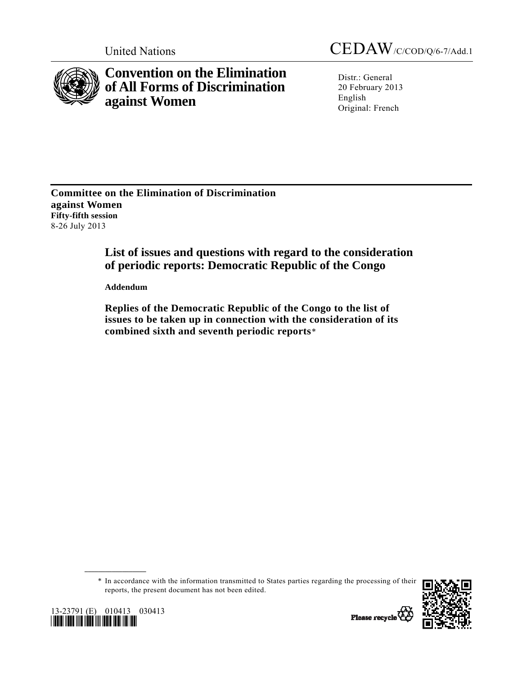

**Convention on the Elimination of All Forms of Discrimination against Women** 

United Nations CEDAW/C/COD/Q/6-7/Add.1

Distr.: General 20 February 2013 English Original: French

**Committee on the Elimination of Discrimination against Women Fifty-fifth session**  8-26 July 2013

# **List of issues and questions with regard to the consideration of periodic reports: Democratic Republic of the Congo**

 **Addendum** 

 **Replies of the Democratic Republic of the Congo to the list of issues to be taken up in connection with the consideration of its combined sixth and seventh periodic reports**[\\*](#page-0-0)

 \* In accordance with the information transmitted to States parties regarding the processing of their reports, the present document has not been edited.



<span id="page-0-0"></span>

**\_\_\_\_\_\_\_\_\_\_\_\_\_\_\_\_\_\_** 

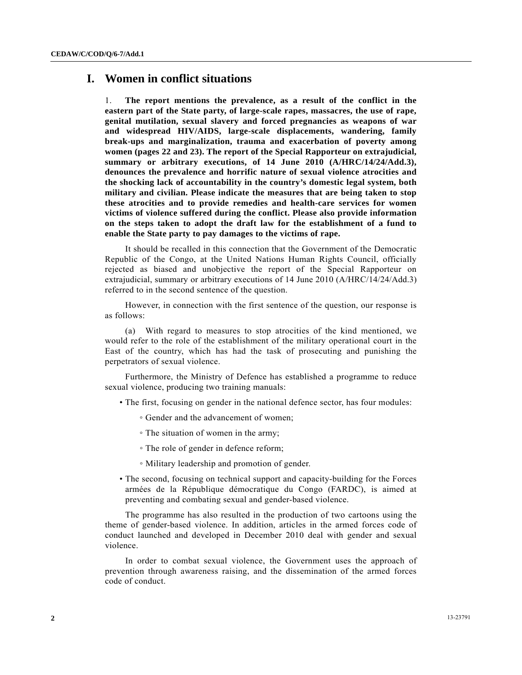## **I. Women in conflict situations**

1. **The report mentions the prevalence, as a result of the conflict in the eastern part of the State party, of large-scale rapes, massacres, the use of rape, genital mutilation, sexual slavery and forced pregnancies as weapons of war and widespread HIV/AIDS, large-scale displacements, wandering, family break-ups and marginalization, trauma and exacerbation of poverty among women (pages 22 and 23). The report of the Special Rapporteur on extrajudicial, summary or arbitrary executions, of 14 June 2010 (A/HRC/14/24/Add.3), denounces the prevalence and horrific nature of sexual violence atrocities and the shocking lack of accountability in the country's domestic legal system, both military and civilian. Please indicate the measures that are being taken to stop these atrocities and to provide remedies and health-care services for women victims of violence suffered during the conflict. Please also provide information on the steps taken to adopt the draft law for the establishment of a fund to enable the State party to pay damages to the victims of rape.** 

 It should be recalled in this connection that the Government of the Democratic Republic of the Congo, at the United Nations Human Rights Council, officially rejected as biased and unobjective the report of the Special Rapporteur on extrajudicial, summary or arbitrary executions of 14 June 2010 (A/HRC/14/24/Add.3) referred to in the second sentence of the question.

 However, in connection with the first sentence of the question, our response is as follows:

 (a) With regard to measures to stop atrocities of the kind mentioned, we would refer to the role of the establishment of the military operational court in the East of the country, which has had the task of prosecuting and punishing the perpetrators of sexual violence.

 Furthermore, the Ministry of Defence has established a programme to reduce sexual violence, producing two training manuals:

- The first, focusing on gender in the national defence sector, has four modules:
	- Gender and the advancement of women;
	- The situation of women in the army;
	- The role of gender in defence reform;
	- Military leadership and promotion of gender.
- The second, focusing on technical support and capacity-building for the Forces armées de la République démocratique du Congo (FARDC), is aimed at preventing and combating sexual and gender-based violence.

 The programme has also resulted in the production of two cartoons using the theme of gender-based violence. In addition, articles in the armed forces code of conduct launched and developed in December 2010 deal with gender and sexual violence.

 In order to combat sexual violence, the Government uses the approach of prevention through awareness raising, and the dissemination of the armed forces code of conduct.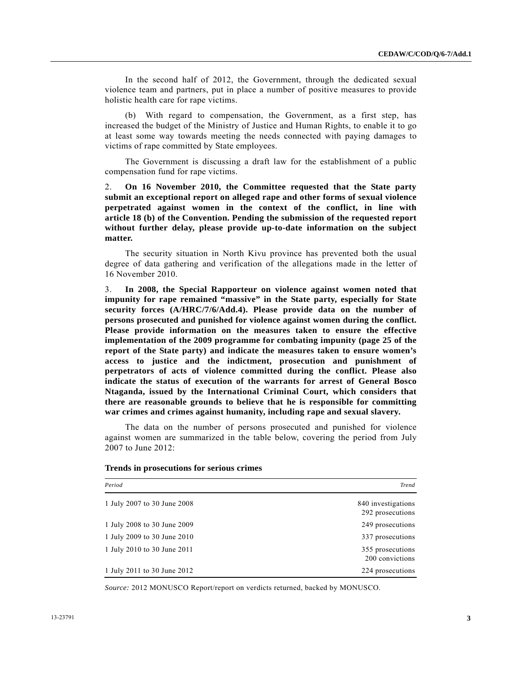In the second half of 2012, the Government, through the dedicated sexual violence team and partners, put in place a number of positive measures to provide holistic health care for rape victims.

 (b) With regard to compensation, the Government, as a first step, has increased the budget of the Ministry of Justice and Human Rights, to enable it to go at least some way towards meeting the needs connected with paying damages to victims of rape committed by State employees.

 The Government is discussing a draft law for the establishment of a public compensation fund for rape victims.

2. **On 16 November 2010, the Committee requested that the State party submit an exceptional report on alleged rape and other forms of sexual violence perpetrated against women in the context of the conflict, in line with article 18 (b) of the Convention. Pending the submission of the requested report without further delay, please provide up-to-date information on the subject matter.** 

 The security situation in North Kivu province has prevented both the usual degree of data gathering and verification of the allegations made in the letter of 16 November 2010.

3. **In 2008, the Special Rapporteur on violence against women noted that impunity for rape remained "massive" in the State party, especially for State security forces (A/HRC/7/6/Add.4). Please provide data on the number of persons prosecuted and punished for violence against women during the conflict. Please provide information on the measures taken to ensure the effective implementation of the 2009 programme for combating impunity (page 25 of the report of the State party) and indicate the measures taken to ensure women's access to justice and the indictment, prosecution and punishment of perpetrators of acts of violence committed during the conflict. Please also indicate the status of execution of the warrants for arrest of General Bosco Ntaganda, issued by the International Criminal Court, which considers that there are reasonable grounds to believe that he is responsible for committing war crimes and crimes against humanity, including rape and sexual slavery.** 

 The data on the number of persons prosecuted and punished for violence against women are summarized in the table below, covering the period from July 2007 to June 2012:

| Period                      | <b>Trend</b>                           |
|-----------------------------|----------------------------------------|
| 1 July 2007 to 30 June 2008 | 840 investigations<br>292 prosecutions |
| 1 July 2008 to 30 June 2009 | 249 prosecutions                       |
| 1 July 2009 to 30 June 2010 | 337 prosecutions                       |
| 1 July 2010 to 30 June 2011 | 355 prosecutions<br>200 convictions    |
| 1 July 2011 to 30 June 2012 | 224 prosecutions                       |

#### **Trends in prosecutions for serious crimes**

*Source:* 2012 MONUSCO Report/report on verdicts returned, backed by MONUSCO.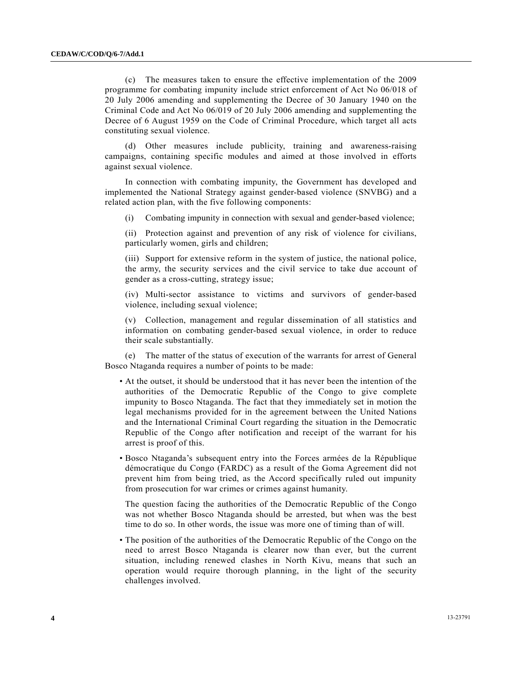(c) The measures taken to ensure the effective implementation of the 2009 programme for combating impunity include strict enforcement of Act No 06/018 of 20 July 2006 amending and supplementing the Decree of 30 January 1940 on the Criminal Code and Act No 06/019 of 20 July 2006 amending and supplementing the Decree of 6 August 1959 on the Code of Criminal Procedure, which target all acts constituting sexual violence.

 (d) Other measures include publicity, training and awareness-raising campaigns, containing specific modules and aimed at those involved in efforts against sexual violence.

 In connection with combating impunity, the Government has developed and implemented the National Strategy against gender-based violence (SNVBG) and a related action plan, with the five following components:

(i) Combating impunity in connection with sexual and gender-based violence;

(ii) Protection against and prevention of any risk of violence for civilians, particularly women, girls and children;

(iii) Support for extensive reform in the system of justice, the national police, the army, the security services and the civil service to take due account of gender as a cross-cutting, strategy issue;

(iv) Multi-sector assistance to victims and survivors of gender-based violence, including sexual violence;

(v) Collection, management and regular dissemination of all statistics and information on combating gender-based sexual violence, in order to reduce their scale substantially.

 (e) The matter of the status of execution of the warrants for arrest of General Bosco Ntaganda requires a number of points to be made:

- At the outset, it should be understood that it has never been the intention of the authorities of the Democratic Republic of the Congo to give complete impunity to Bosco Ntaganda. The fact that they immediately set in motion the legal mechanisms provided for in the agreement between the United Nations and the International Criminal Court regarding the situation in the Democratic Republic of the Congo after notification and receipt of the warrant for his arrest is proof of this.
- Bosco Ntaganda's subsequent entry into the Forces armées de la République démocratique du Congo (FARDC) as a result of the Goma Agreement did not prevent him from being tried, as the Accord specifically ruled out impunity from prosecution for war crimes or crimes against humanity.

The question facing the authorities of the Democratic Republic of the Congo was not whether Bosco Ntaganda should be arrested, but when was the best time to do so. In other words, the issue was more one of timing than of will.

 • The position of the authorities of the Democratic Republic of the Congo on the need to arrest Bosco Ntaganda is clearer now than ever, but the current situation, including renewed clashes in North Kivu, means that such an operation would require thorough planning, in the light of the security challenges involved.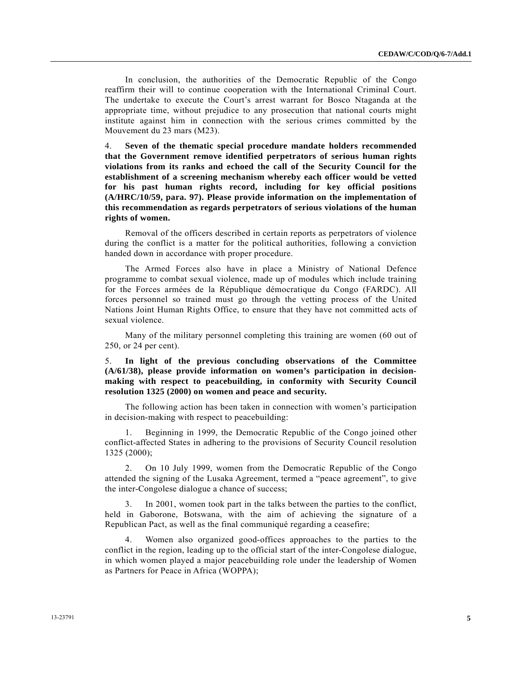In conclusion, the authorities of the Democratic Republic of the Congo reaffirm their will to continue cooperation with the International Criminal Court. The undertake to execute the Court's arrest warrant for Bosco Ntaganda at the appropriate time, without prejudice to any prosecution that national courts might institute against him in connection with the serious crimes committed by the Mouvement du 23 mars (M23).

4. **Seven of the thematic special procedure mandate holders recommended that the Government remove identified perpetrators of serious human rights violations from its ranks and echoed the call of the Security Council for the establishment of a screening mechanism whereby each officer would be vetted for his past human rights record, including for key official positions (A/HRC/10/59, para. 97). Please provide information on the implementation of this recommendation as regards perpetrators of serious violations of the human rights of women.** 

 Removal of the officers described in certain reports as perpetrators of violence during the conflict is a matter for the political authorities, following a conviction handed down in accordance with proper procedure.

 The Armed Forces also have in place a Ministry of National Defence programme to combat sexual violence, made up of modules which include training for the Forces armées de la République démocratique du Congo (FARDC). All forces personnel so trained must go through the vetting process of the United Nations Joint Human Rights Office, to ensure that they have not committed acts of sexual violence.

 Many of the military personnel completing this training are women (60 out of 250, or 24 per cent).

5. **In light of the previous concluding observations of the Committee (A/61/38), please provide information on women's participation in decisionmaking with respect to peacebuilding, in conformity with Security Council resolution 1325 (2000) on women and peace and security.** 

 The following action has been taken in connection with women's participation in decision-making with respect to peacebuilding:

 1. Beginning in 1999, the Democratic Republic of the Congo joined other conflict-affected States in adhering to the provisions of Security Council resolution 1325 (2000);

 2. On 10 July 1999, women from the Democratic Republic of the Congo attended the signing of the Lusaka Agreement, termed a "peace agreement", to give the inter-Congolese dialogue a chance of success;

 3. In 2001, women took part in the talks between the parties to the conflict, held in Gaborone, Botswana, with the aim of achieving the signature of a Republican Pact, as well as the final communiqué regarding a ceasefire;

 4. Women also organized good-offices approaches to the parties to the conflict in the region, leading up to the official start of the inter-Congolese dialogue, in which women played a major peacebuilding role under the leadership of Women as Partners for Peace in Africa (WOPPA);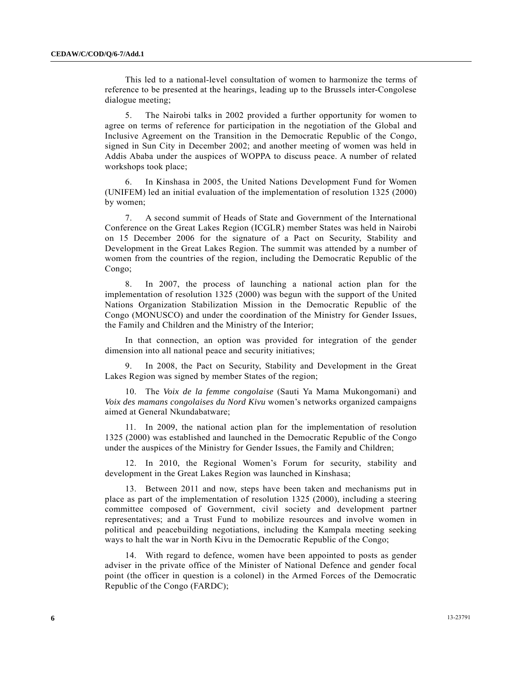This led to a national-level consultation of women to harmonize the terms of reference to be presented at the hearings, leading up to the Brussels inter-Congolese dialogue meeting;

 5. The Nairobi talks in 2002 provided a further opportunity for women to agree on terms of reference for participation in the negotiation of the Global and Inclusive Agreement on the Transition in the Democratic Republic of the Congo, signed in Sun City in December 2002; and another meeting of women was held in Addis Ababa under the auspices of WOPPA to discuss peace. A number of related workshops took place;

 6. In Kinshasa in 2005, the United Nations Development Fund for Women (UNIFEM) led an initial evaluation of the implementation of resolution 1325 (2000) by women;

 7. A second summit of Heads of State and Government of the International Conference on the Great Lakes Region (ICGLR) member States was held in Nairobi on 15 December 2006 for the signature of a Pact on Security, Stability and Development in the Great Lakes Region. The summit was attended by a number of women from the countries of the region, including the Democratic Republic of the Congo;

 8. In 2007, the process of launching a national action plan for the implementation of resolution 1325 (2000) was begun with the support of the United Nations Organization Stabilization Mission in the Democratic Republic of the Congo (MONUSCO) and under the coordination of the Ministry for Gender Issues, the Family and Children and the Ministry of the Interior;

 In that connection, an option was provided for integration of the gender dimension into all national peace and security initiatives;

 9. In 2008, the Pact on Security, Stability and Development in the Great Lakes Region was signed by member States of the region;

 10. The *Voix de la femme congolaise* (Sauti Ya Mama Mukongomani) and *Voix des mamans congolaises du Nord Kivu* women's networks organized campaigns aimed at General Nkundabatware;

 11. In 2009, the national action plan for the implementation of resolution 1325 (2000) was established and launched in the Democratic Republic of the Congo under the auspices of the Ministry for Gender Issues, the Family and Children;

 12. In 2010, the Regional Women's Forum for security, stability and development in the Great Lakes Region was launched in Kinshasa;

 13. Between 2011 and now, steps have been taken and mechanisms put in place as part of the implementation of resolution 1325 (2000), including a steering committee composed of Government, civil society and development partner representatives; and a Trust Fund to mobilize resources and involve women in political and peacebuilding negotiations, including the Kampala meeting seeking ways to halt the war in North Kivu in the Democratic Republic of the Congo;

 14. With regard to defence, women have been appointed to posts as gender adviser in the private office of the Minister of National Defence and gender focal point (the officer in question is a colonel) in the Armed Forces of the Democratic Republic of the Congo (FARDC);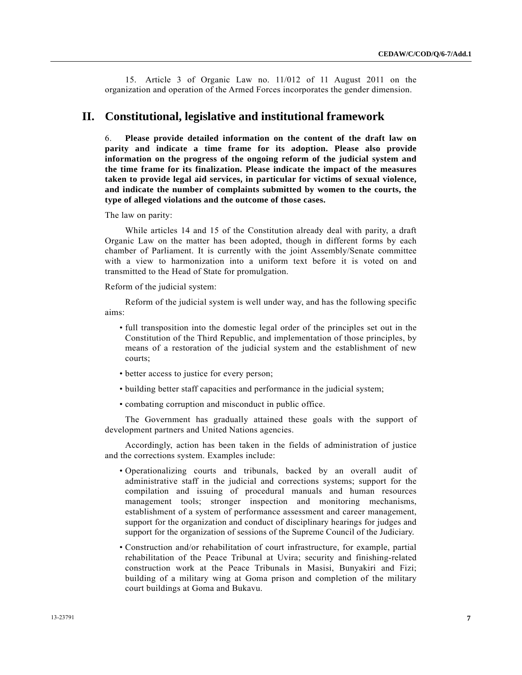15. Article 3 of Organic Law no. 11/012 of 11 August 2011 on the organization and operation of the Armed Forces incorporates the gender dimension.

## **II. Constitutional, legislative and institutional framework**

6. **Please provide detailed information on the content of the draft law on parity and indicate a time frame for its adoption. Please also provide information on the progress of the ongoing reform of the judicial system and the time frame for its finalization. Please indicate the impact of the measures taken to provide legal aid services, in particular for victims of sexual violence, and indicate the number of complaints submitted by women to the courts, the type of alleged violations and the outcome of those cases.** 

The law on parity:

 While articles 14 and 15 of the Constitution already deal with parity, a draft Organic Law on the matter has been adopted, though in different forms by each chamber of Parliament. It is currently with the joint Assembly/Senate committee with a view to harmonization into a uniform text before it is voted on and transmitted to the Head of State for promulgation.

Reform of the judicial system:

 Reform of the judicial system is well under way, and has the following specific aims:

- full transposition into the domestic legal order of the principles set out in the Constitution of the Third Republic, and implementation of those principles, by means of a restoration of the judicial system and the establishment of new courts;
- better access to justice for every person;
- building better staff capacities and performance in the judicial system;
- combating corruption and misconduct in public office.

 The Government has gradually attained these goals with the support of development partners and United Nations agencies.

 Accordingly, action has been taken in the fields of administration of justice and the corrections system. Examples include:

- Operationalizing courts and tribunals, backed by an overall audit of administrative staff in the judicial and corrections systems; support for the compilation and issuing of procedural manuals and human resources management tools; stronger inspection and monitoring mechanisms, establishment of a system of performance assessment and career management, support for the organization and conduct of disciplinary hearings for judges and support for the organization of sessions of the Supreme Council of the Judiciary.
- Construction and/or rehabilitation of court infrastructure, for example, partial rehabilitation of the Peace Tribunal at Uvira; security and finishing-related construction work at the Peace Tribunals in Masisi, Bunyakiri and Fizi; building of a military wing at Goma prison and completion of the military court buildings at Goma and Bukavu.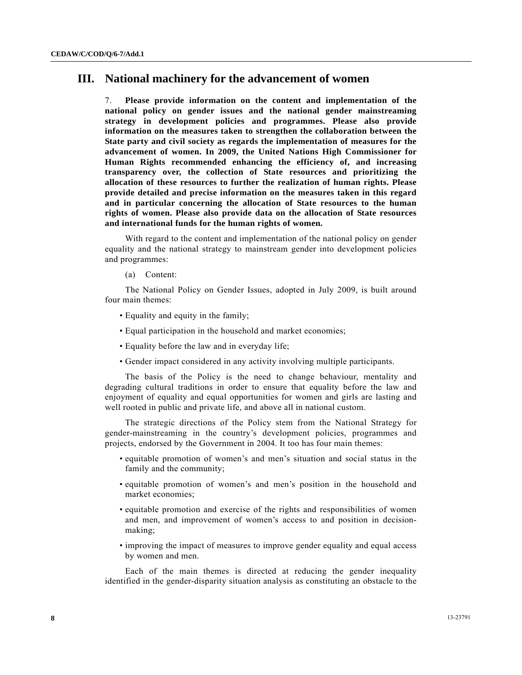## **III. National machinery for the advancement of women**

7. **Please provide information on the content and implementation of the national policy on gender issues and the national gender mainstreaming strategy in development policies and programmes. Please also provide information on the measures taken to strengthen the collaboration between the State party and civil society as regards the implementation of measures for the advancement of women. In 2009, the United Nations High Commissioner for Human Rights recommended enhancing the efficiency of, and increasing transparency over, the collection of State resources and prioritizing the allocation of these resources to further the realization of human rights. Please provide detailed and precise information on the measures taken in this regard and in particular concerning the allocation of State resources to the human rights of women. Please also provide data on the allocation of State resources and international funds for the human rights of women.** 

 With regard to the content and implementation of the national policy on gender equality and the national strategy to mainstream gender into development policies and programmes:

(a) Content:

 The National Policy on Gender Issues, adopted in July 2009, is built around four main themes:

- Equality and equity in the family;
- Equal participation in the household and market economies;
- Equality before the law and in everyday life;
- Gender impact considered in any activity involving multiple participants.

 The basis of the Policy is the need to change behaviour, mentality and degrading cultural traditions in order to ensure that equality before the law and enjoyment of equality and equal opportunities for women and girls are lasting and well rooted in public and private life, and above all in national custom.

 The strategic directions of the Policy stem from the National Strategy for gender-mainstreaming in the country's development policies, programmes and projects, endorsed by the Government in 2004. It too has four main themes:

- equitable promotion of women's and men's situation and social status in the family and the community;
- equitable promotion of women's and men's position in the household and market economies;
- equitable promotion and exercise of the rights and responsibilities of women and men, and improvement of women's access to and position in decisionmaking;
- improving the impact of measures to improve gender equality and equal access by women and men.

 Each of the main themes is directed at reducing the gender inequality identified in the gender-disparity situation analysis as constituting an obstacle to the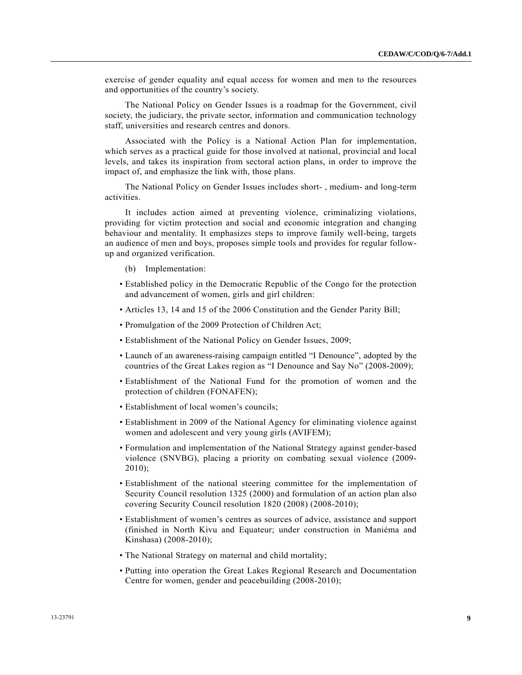exercise of gender equality and equal access for women and men to the resources and opportunities of the country's society.

 The National Policy on Gender Issues is a roadmap for the Government, civil society, the judiciary, the private sector, information and communication technology staff, universities and research centres and donors.

 Associated with the Policy is a National Action Plan for implementation, which serves as a practical guide for those involved at national, provincial and local levels, and takes its inspiration from sectoral action plans, in order to improve the impact of, and emphasize the link with, those plans.

 The National Policy on Gender Issues includes short- , medium- and long-term activities.

 It includes action aimed at preventing violence, criminalizing violations, providing for victim protection and social and economic integration and changing behaviour and mentality. It emphasizes steps to improve family well-being, targets an audience of men and boys, proposes simple tools and provides for regular followup and organized verification.

- (b) Implementation:
- Established policy in the Democratic Republic of the Congo for the protection and advancement of women, girls and girl children:
- Articles 13, 14 and 15 of the 2006 Constitution and the Gender Parity Bill;
- Promulgation of the 2009 Protection of Children Act;
- Establishment of the National Policy on Gender Issues, 2009;
- Launch of an awareness-raising campaign entitled "I Denounce", adopted by the countries of the Great Lakes region as "I Denounce and Say No" (2008-2009);
- Establishment of the National Fund for the promotion of women and the protection of children (FONAFEN);
- Establishment of local women's councils;
- Establishment in 2009 of the National Agency for eliminating violence against women and adolescent and very young girls (AVIFEM);
- Formulation and implementation of the National Strategy against gender-based violence (SNVBG), placing a priority on combating sexual violence (2009- 2010);
- Establishment of the national steering committee for the implementation of Security Council resolution 1325 (2000) and formulation of an action plan also covering Security Council resolution 1820 (2008) (2008-2010);
- Establishment of women's centres as sources of advice, assistance and support (finished in North Kivu and Equateur; under construction in Maniéma and Kinshasa) (2008-2010);
- The National Strategy on maternal and child mortality;
- Putting into operation the Great Lakes Regional Research and Documentation Centre for women, gender and peacebuilding (2008-2010);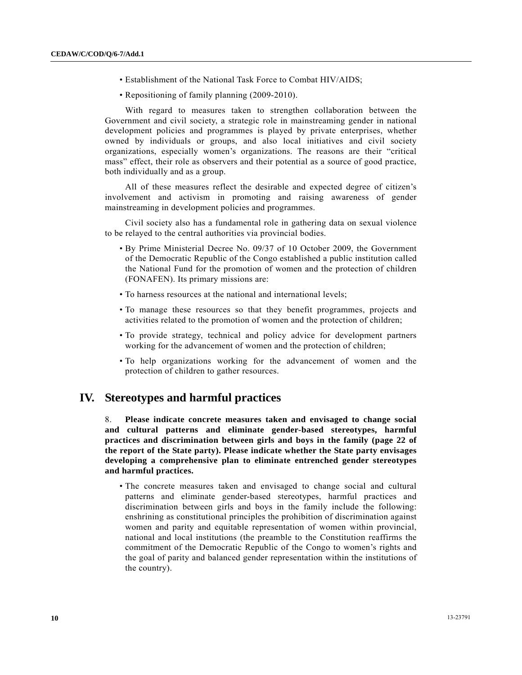- Establishment of the National Task Force to Combat HIV/AIDS;
- Repositioning of family planning (2009-2010).

 With regard to measures taken to strengthen collaboration between the Government and civil society, a strategic role in mainstreaming gender in national development policies and programmes is played by private enterprises, whether owned by individuals or groups, and also local initiatives and civil society organizations, especially women's organizations. The reasons are their "critical mass" effect, their role as observers and their potential as a source of good practice, both individually and as a group.

 All of these measures reflect the desirable and expected degree of citizen's involvement and activism in promoting and raising awareness of gender mainstreaming in development policies and programmes.

 Civil society also has a fundamental role in gathering data on sexual violence to be relayed to the central authorities via provincial bodies.

- By Prime Ministerial Decree No. 09/37 of 10 October 2009, the Government of the Democratic Republic of the Congo established a public institution called the National Fund for the promotion of women and the protection of children (FONAFEN). Its primary missions are:
- To harness resources at the national and international levels;
- To manage these resources so that they benefit programmes, projects and activities related to the promotion of women and the protection of children;
- To provide strategy, technical and policy advice for development partners working for the advancement of women and the protection of children;
- To help organizations working for the advancement of women and the protection of children to gather resources.

# **IV. Stereotypes and harmful practices**

8. **Please indicate concrete measures taken and envisaged to change social and cultural patterns and eliminate gender-based stereotypes, harmful practices and discrimination between girls and boys in the family (page 22 of the report of the State party). Please indicate whether the State party envisages developing a comprehensive plan to eliminate entrenched gender stereotypes and harmful practices.** 

 • The concrete measures taken and envisaged to change social and cultural patterns and eliminate gender-based stereotypes, harmful practices and discrimination between girls and boys in the family include the following: enshrining as constitutional principles the prohibition of discrimination against women and parity and equitable representation of women within provincial, national and local institutions (the preamble to the Constitution reaffirms the commitment of the Democratic Republic of the Congo to women's rights and the goal of parity and balanced gender representation within the institutions of the country).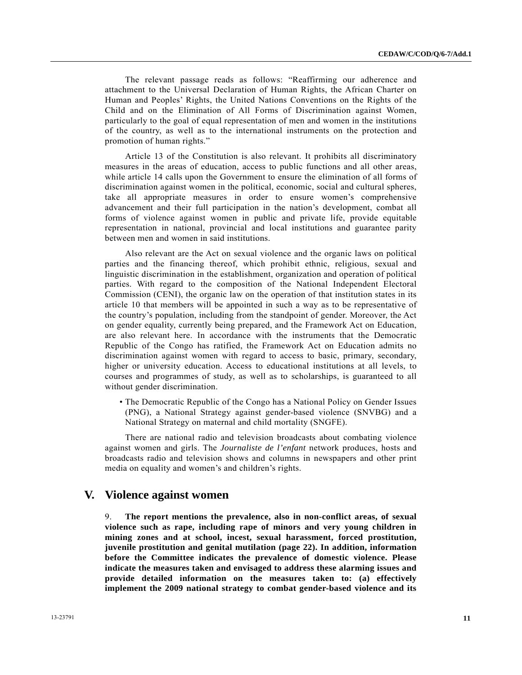The relevant passage reads as follows: "Reaffirming our adherence and attachment to the Universal Declaration of Human Rights, the African Charter on Human and Peoples' Rights, the United Nations Conventions on the Rights of the Child and on the Elimination of All Forms of Discrimination against Women, particularly to the goal of equal representation of men and women in the institutions of the country, as well as to the international instruments on the protection and promotion of human rights."

 Article 13 of the Constitution is also relevant. It prohibits all discriminatory measures in the areas of education, access to public functions and all other areas, while article 14 calls upon the Government to ensure the elimination of all forms of discrimination against women in the political, economic, social and cultural spheres, take all appropriate measures in order to ensure women's comprehensive advancement and their full participation in the nation's development, combat all forms of violence against women in public and private life, provide equitable representation in national, provincial and local institutions and guarantee parity between men and women in said institutions.

 Also relevant are the Act on sexual violence and the organic laws on political parties and the financing thereof, which prohibit ethnic, religious, sexual and linguistic discrimination in the establishment, organization and operation of political parties. With regard to the composition of the National Independent Electoral Commission (CENI), the organic law on the operation of that institution states in its article 10 that members will be appointed in such a way as to be representative of the country's population, including from the standpoint of gender. Moreover, the Act on gender equality, currently being prepared, and the Framework Act on Education, are also relevant here. In accordance with the instruments that the Democratic Republic of the Congo has ratified, the Framework Act on Education admits no discrimination against women with regard to access to basic, primary, secondary, higher or university education. Access to educational institutions at all levels, to courses and programmes of study, as well as to scholarships, is guaranteed to all without gender discrimination.

 • The Democratic Republic of the Congo has a National Policy on Gender Issues (PNG), a National Strategy against gender-based violence (SNVBG) and a National Strategy on maternal and child mortality (SNGFE).

 There are national radio and television broadcasts about combating violence against women and girls. The *Journaliste de l'enfant* network produces, hosts and broadcasts radio and television shows and columns in newspapers and other print media on equality and women's and children's rights.

### **V. Violence against women**

9. **The report mentions the prevalence, also in non-conflict areas, of sexual violence such as rape, including rape of minors and very young children in mining zones and at school, incest, sexual harassment, forced prostitution, juvenile prostitution and genital mutilation (page 22). In addition, information before the Committee indicates the prevalence of domestic violence. Please indicate the measures taken and envisaged to address these alarming issues and provide detailed information on the measures taken to: (a) effectively implement the 2009 national strategy to combat gender-based violence and its**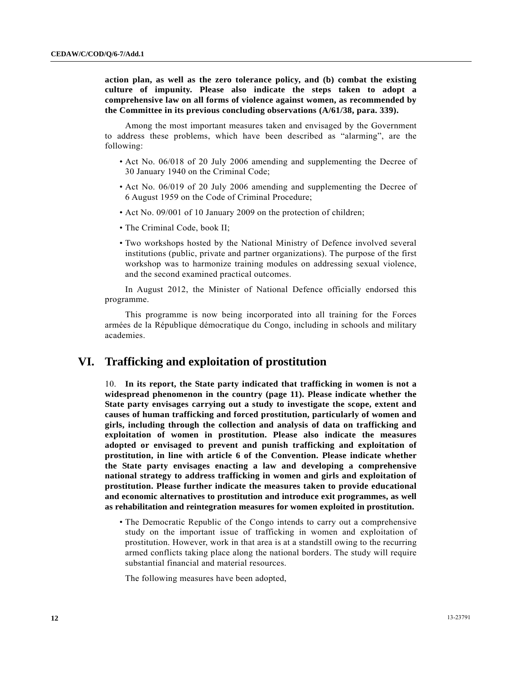**action plan, as well as the zero tolerance policy, and (b) combat the existing culture of impunity. Please also indicate the steps taken to adopt a comprehensive law on all forms of violence against women, as recommended by the Committee in its previous concluding observations (A/61/38, para. 339).** 

 Among the most important measures taken and envisaged by the Government to address these problems, which have been described as "alarming", are the following:

- Act No. 06/018 of 20 July 2006 amending and supplementing the Decree of 30 January 1940 on the Criminal Code;
- Act No. 06/019 of 20 July 2006 amending and supplementing the Decree of 6 August 1959 on the Code of Criminal Procedure;
- Act No. 09/001 of 10 January 2009 on the protection of children;
- The Criminal Code, book II;
- Two workshops hosted by the National Ministry of Defence involved several institutions (public, private and partner organizations). The purpose of the first workshop was to harmonize training modules on addressing sexual violence, and the second examined practical outcomes.

 In August 2012, the Minister of National Defence officially endorsed this programme.

 This programme is now being incorporated into all training for the Forces armées de la République démocratique du Congo, including in schools and military academies.

## **VI. Trafficking and exploitation of prostitution**

10. **In its report, the State party indicated that trafficking in women is not a widespread phenomenon in the country (page 11). Please indicate whether the State party envisages carrying out a study to investigate the scope, extent and causes of human trafficking and forced prostitution, particularly of women and girls, including through the collection and analysis of data on trafficking and exploitation of women in prostitution. Please also indicate the measures adopted or envisaged to prevent and punish trafficking and exploitation of prostitution, in line with article 6 of the Convention. Please indicate whether the State party envisages enacting a law and developing a comprehensive national strategy to address trafficking in women and girls and exploitation of prostitution. Please further indicate the measures taken to provide educational and economic alternatives to prostitution and introduce exit programmes, as well as rehabilitation and reintegration measures for women exploited in prostitution.** 

 • The Democratic Republic of the Congo intends to carry out a comprehensive study on the important issue of trafficking in women and exploitation of prostitution. However, work in that area is at a standstill owing to the recurring armed conflicts taking place along the national borders. The study will require substantial financial and material resources.

The following measures have been adopted,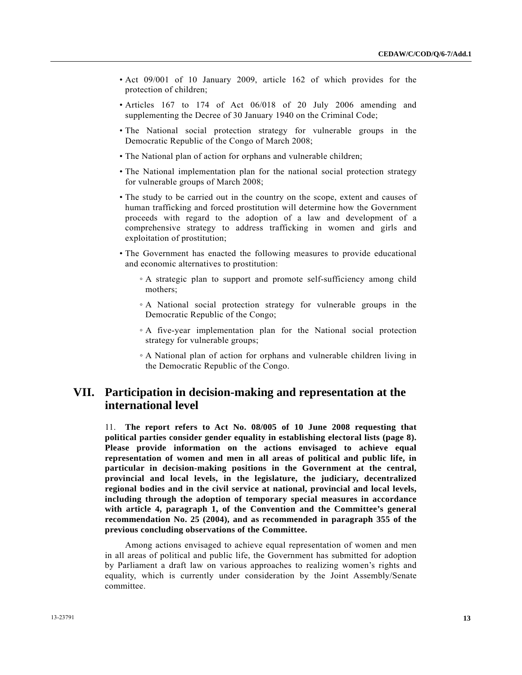- Act 09/001 of 10 January 2009, article 162 of which provides for the protection of children;
- Articles 167 to 174 of Act 06/018 of 20 July 2006 amending and supplementing the Decree of 30 January 1940 on the Criminal Code;
- The National social protection strategy for vulnerable groups in the Democratic Republic of the Congo of March 2008;
- The National plan of action for orphans and vulnerable children;
- The National implementation plan for the national social protection strategy for vulnerable groups of March 2008;
- The study to be carried out in the country on the scope, extent and causes of human trafficking and forced prostitution will determine how the Government proceeds with regard to the adoption of a law and development of a comprehensive strategy to address trafficking in women and girls and exploitation of prostitution;
- The Government has enacted the following measures to provide educational and economic alternatives to prostitution:
	- A strategic plan to support and promote self-sufficiency among child mothers;
	- A National social protection strategy for vulnerable groups in the Democratic Republic of the Congo;
	- A five-year implementation plan for the National social protection strategy for vulnerable groups;
	- A National plan of action for orphans and vulnerable children living in the Democratic Republic of the Congo.

# **VII. Participation in decision-making and representation at the international level**

11. **The report refers to Act No. 08/005 of 10 June 2008 requesting that political parties consider gender equality in establishing electoral lists (page 8). Please provide information on the actions envisaged to achieve equal representation of women and men in all areas of political and public life, in particular in decision-making positions in the Government at the central, provincial and local levels, in the legislature, the judiciary, decentralized regional bodies and in the civil service at national, provincial and local levels, including through the adoption of temporary special measures in accordance with article 4, paragraph 1, of the Convention and the Committee's general recommendation No. 25 (2004), and as recommended in paragraph 355 of the previous concluding observations of the Committee.** 

 Among actions envisaged to achieve equal representation of women and men in all areas of political and public life, the Government has submitted for adoption by Parliament a draft law on various approaches to realizing women's rights and equality, which is currently under consideration by the Joint Assembly/Senate committee.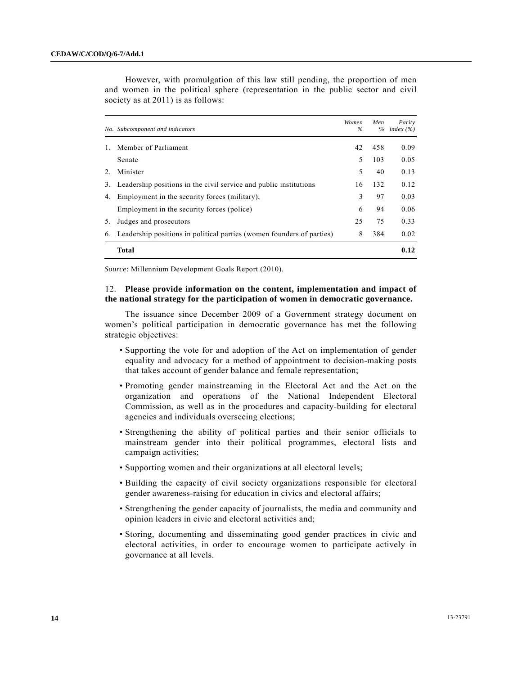|    | and women in the political sphere (representation in the public sector and civil<br>society as at 2011) is as follows: |                        |                    |                      |  |  |
|----|------------------------------------------------------------------------------------------------------------------------|------------------------|--------------------|----------------------|--|--|
|    | No. Subcomponent and indicators                                                                                        | Women<br>$\frac{0}{0}$ | <b>Men</b><br>$\%$ | Parity<br>index $(%$ |  |  |
|    | Member of Parliament                                                                                                   | 42                     | 458                | 0.09                 |  |  |
|    | Senate                                                                                                                 | 5                      | 103                | 0.05                 |  |  |
| 2. | Minister                                                                                                               | 5                      | 40                 | 0.13                 |  |  |
| 3. | Leadership positions in the civil service and public institutions                                                      | 16                     | 132                | 0.12                 |  |  |
| 4. | Employment in the security forces (military);                                                                          | 3                      | 97                 | 0.03                 |  |  |
|    | Employment in the security forces (police)                                                                             | 6                      | 94                 | 0.06                 |  |  |
| 5. | Judges and prosecutors                                                                                                 | 25                     | 75                 | 0.33                 |  |  |
| 6. | Leadership positions in political parties (women founders of parties)                                                  | 8                      | 384                | 0.02                 |  |  |
|    | <b>Total</b>                                                                                                           |                        |                    | 0.12                 |  |  |

 However, with promulgation of this law still pending, the proportion of men and women in the political sphere (representation in the public sector and civil

*Source*: Millennium Development Goals Report (2010).

#### 12. **Please provide information on the content, implementation and impact of the national strategy for the participation of women in democratic governance.**

 The issuance since December 2009 of a Government strategy document on women's political participation in democratic governance has met the following strategic objectives:

- Supporting the vote for and adoption of the Act on implementation of gender equality and advocacy for a method of appointment to decision-making posts that takes account of gender balance and female representation;
- Promoting gender mainstreaming in the Electoral Act and the Act on the organization and operations of the National Independent Electoral Commission, as well as in the procedures and capacity-building for electoral agencies and individuals overseeing elections;
- Strengthening the ability of political parties and their senior officials to mainstream gender into their political programmes, electoral lists and campaign activities;
- Supporting women and their organizations at all electoral levels;
- Building the capacity of civil society organizations responsible for electoral gender awareness-raising for education in civics and electoral affairs;
- Strengthening the gender capacity of journalists, the media and community and opinion leaders in civic and electoral activities and;
- Storing, documenting and disseminating good gender practices in civic and electoral activities, in order to encourage women to participate actively in governance at all levels.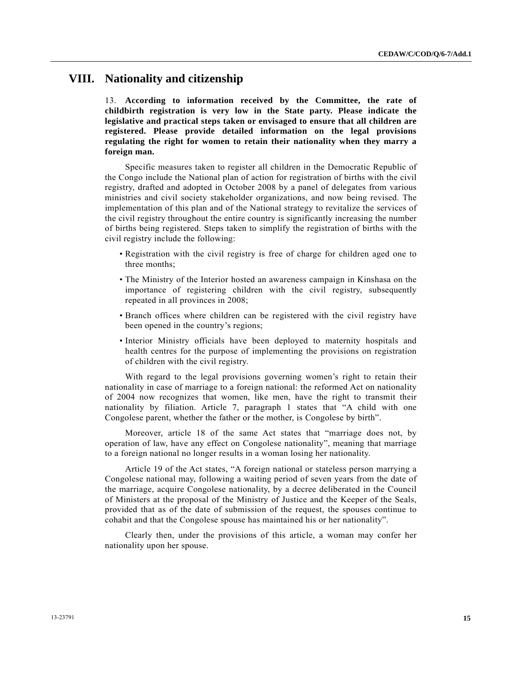## **VIII. Nationality and citizenship**

13. **According to information received by the Committee, the rate of childbirth registration is very low in the State party. Please indicate the legislative and practical steps taken or envisaged to ensure that all children are registered. Please provide detailed information on the legal provisions regulating the right for women to retain their nationality when they marry a foreign man.** 

 Specific measures taken to register all children in the Democratic Republic of the Congo include the National plan of action for registration of births with the civil registry, drafted and adopted in October 2008 by a panel of delegates from various ministries and civil society stakeholder organizations, and now being revised. The implementation of this plan and of the National strategy to revitalize the services of the civil registry throughout the entire country is significantly increasing the number of births being registered. Steps taken to simplify the registration of births with the civil registry include the following:

- Registration with the civil registry is free of charge for children aged one to three months;
- The Ministry of the Interior hosted an awareness campaign in Kinshasa on the importance of registering children with the civil registry, subsequently repeated in all provinces in 2008;
- Branch offices where children can be registered with the civil registry have been opened in the country's regions;
- Interior Ministry officials have been deployed to maternity hospitals and health centres for the purpose of implementing the provisions on registration of children with the civil registry.

 With regard to the legal provisions governing women's right to retain their nationality in case of marriage to a foreign national: the reformed Act on nationality of 2004 now recognizes that women, like men, have the right to transmit their nationality by filiation. Article 7, paragraph 1 states that "A child with one Congolese parent, whether the father or the mother, is Congolese by birth".

 Moreover, article 18 of the same Act states that "marriage does not, by operation of law, have any effect on Congolese nationality", meaning that marriage to a foreign national no longer results in a woman losing her nationality.

 Article 19 of the Act states, "A foreign national or stateless person marrying a Congolese national may, following a waiting period of seven years from the date of the marriage, acquire Congolese nationality, by a decree deliberated in the Council of Ministers at the proposal of the Ministry of Justice and the Keeper of the Seals, provided that as of the date of submission of the request, the spouses continue to cohabit and that the Congolese spouse has maintained his or her nationality".

 Clearly then, under the provisions of this article, a woman may confer her nationality upon her spouse.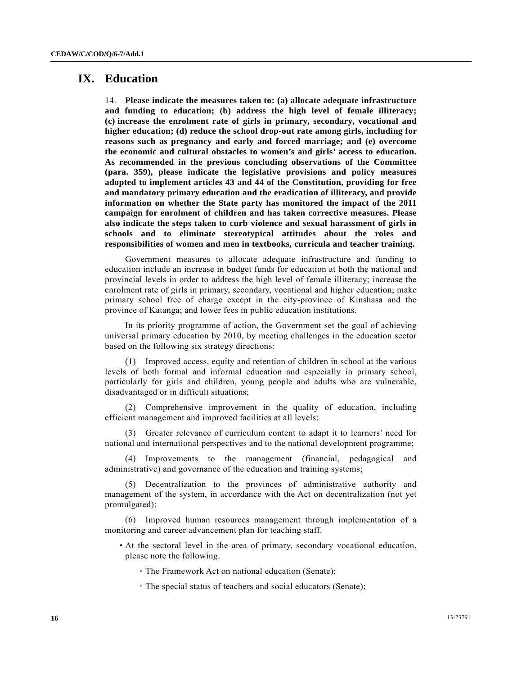# **IX. Education**

14. **Please indicate the measures taken to: (a) allocate adequate infrastructure and funding to education; (b) address the high level of female illiteracy; (c) increase the enrolment rate of girls in primary, secondary, vocational and higher education; (d) reduce the school drop-out rate among girls, including for reasons such as pregnancy and early and forced marriage; and (e) overcome the economic and cultural obstacles to women's and girls' access to education. As recommended in the previous concluding observations of the Committee (para. 359), please indicate the legislative provisions and policy measures adopted to implement articles 43 and 44 of the Constitution, providing for free and mandatory primary education and the eradication of illiteracy, and provide information on whether the State party has monitored the impact of the 2011 campaign for enrolment of children and has taken corrective measures. Please also indicate the steps taken to curb violence and sexual harassment of girls in schools and to eliminate stereotypical attitudes about the roles and responsibilities of women and men in textbooks, curricula and teacher training.** 

 Government measures to allocate adequate infrastructure and funding to education include an increase in budget funds for education at both the national and provincial levels in order to address the high level of female illiteracy; increase the enrolment rate of girls in primary, secondary, vocational and higher education; make primary school free of charge except in the city-province of Kinshasa and the province of Katanga; and lower fees in public education institutions.

 In its priority programme of action, the Government set the goal of achieving universal primary education by 2010, by meeting challenges in the education sector based on the following six strategy directions:

 (1) Improved access, equity and retention of children in school at the various levels of both formal and informal education and especially in primary school, particularly for girls and children, young people and adults who are vulnerable, disadvantaged or in difficult situations;

 (2) Comprehensive improvement in the quality of education, including efficient management and improved facilities at all levels;

 (3) Greater relevance of curriculum content to adapt it to learners' need for national and international perspectives and to the national development programme;

 (4) Improvements to the management (financial, pedagogical and administrative) and governance of the education and training systems;

 (5) Decentralization to the provinces of administrative authority and management of the system, in accordance with the Act on decentralization (not yet promulgated);

 (6) Improved human resources management through implementation of a monitoring and career advancement plan for teaching staff.

- At the sectoral level in the area of primary, secondary vocational education, please note the following:
	- The Framework Act on national education (Senate);
	- The special status of teachers and social educators (Senate);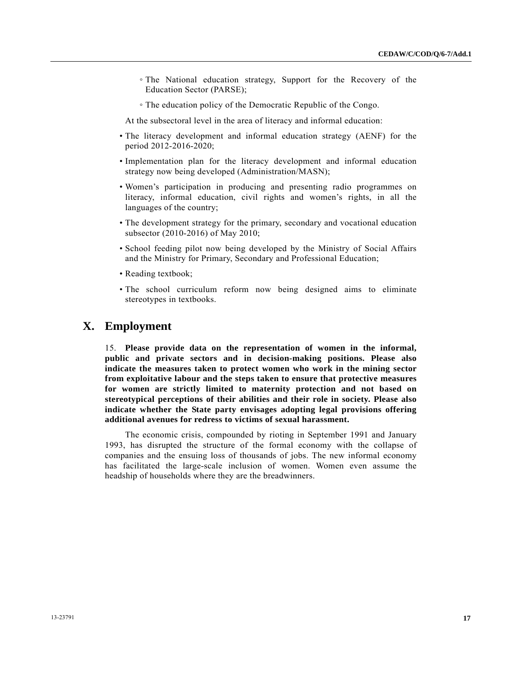- The National education strategy, Support for the Recovery of the Education Sector (PARSE);
- The education policy of the Democratic Republic of the Congo.

At the subsectoral level in the area of literacy and informal education:

- The literacy development and informal education strategy (AENF) for the period 2012-2016-2020;
- Implementation plan for the literacy development and informal education strategy now being developed (Administration/MASN);
- Women's participation in producing and presenting radio programmes on literacy, informal education, civil rights and women's rights, in all the languages of the country;
- The development strategy for the primary, secondary and vocational education subsector (2010-2016) of May 2010;
- School feeding pilot now being developed by the Ministry of Social Affairs and the Ministry for Primary, Secondary and Professional Education;
- Reading textbook;
- The school curriculum reform now being designed aims to eliminate stereotypes in textbooks.

### **X. Employment**

15. **Please provide data on the representation of women in the informal, public and private sectors and in decision-making positions. Please also indicate the measures taken to protect women who work in the mining sector from exploitative labour and the steps taken to ensure that protective measures for women are strictly limited to maternity protection and not based on stereotypical perceptions of their abilities and their role in society. Please also indicate whether the State party envisages adopting legal provisions offering additional avenues for redress to victims of sexual harassment.** 

 The economic crisis, compounded by rioting in September 1991 and January 1993, has disrupted the structure of the formal economy with the collapse of companies and the ensuing loss of thousands of jobs. The new informal economy has facilitated the large-scale inclusion of women. Women even assume the headship of households where they are the breadwinners.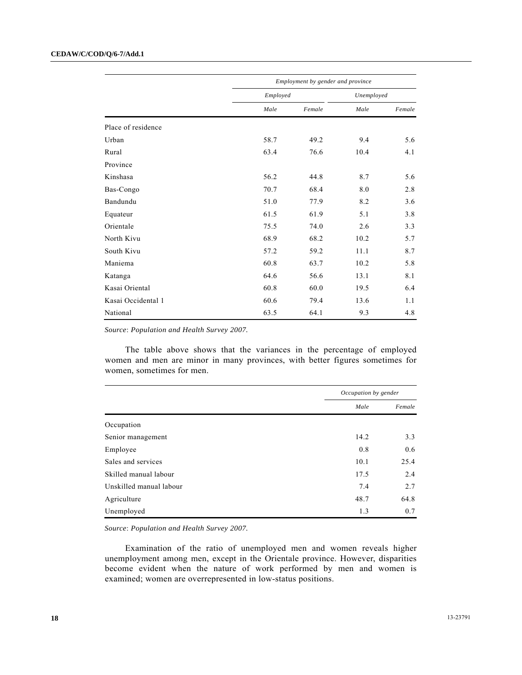|                    |      | Employment by gender and province |      |            |  |
|--------------------|------|-----------------------------------|------|------------|--|
|                    |      | Employed                          |      | Unemployed |  |
|                    | Male | Female                            | Male | Female     |  |
| Place of residence |      |                                   |      |            |  |
| Urban              | 58.7 | 49.2                              | 9.4  | 5.6        |  |
| Rural              | 63.4 | 76.6                              | 10.4 | 4.1        |  |
| Province           |      |                                   |      |            |  |
| Kinshasa           | 56.2 | 44.8                              | 8.7  | 5.6        |  |
| Bas-Congo          | 70.7 | 68.4                              | 8.0  | 2.8        |  |
| Bandundu           | 51.0 | 77.9                              | 8.2  | 3.6        |  |
| Equateur           | 61.5 | 61.9                              | 5.1  | 3.8        |  |
| Orientale          | 75.5 | 74.0                              | 2.6  | 3.3        |  |
| North Kivu         | 68.9 | 68.2                              | 10.2 | 5.7        |  |
| South Kivu         | 57.2 | 59.2                              | 11.1 | 8.7        |  |
| Maniema            | 60.8 | 63.7                              | 10.2 | 5.8        |  |
| Katanga            | 64.6 | 56.6                              | 13.1 | 8.1        |  |
| Kasai Oriental     | 60.8 | 60.0                              | 19.5 | 6.4        |  |
| Kasai Occidental 1 | 60.6 | 79.4                              | 13.6 | 1.1        |  |
| National           | 63.5 | 64.1                              | 9.3  | 4.8        |  |

*Source*: *Population and Health Survey 2007.* 

 The table above shows that the variances in the percentage of employed women and men are minor in many provinces, with better figures sometimes for women, sometimes for men.

|                         |      | Occupation by gender |  |
|-------------------------|------|----------------------|--|
|                         | Male | Female               |  |
| Occupation              |      |                      |  |
| Senior management       | 14.2 | 3.3                  |  |
| Employee                | 0.8  | 0.6                  |  |
| Sales and services      | 10.1 | 25.4                 |  |
| Skilled manual labour   | 17.5 | 2.4                  |  |
| Unskilled manual labour | 7.4  | 2.7                  |  |
| Agriculture             | 48.7 | 64.8                 |  |
| Unemployed              | 1.3  | 0.7                  |  |

*Source*: *Population and Health Survey 2007.* 

 Examination of the ratio of unemployed men and women reveals higher unemployment among men, except in the Orientale province. However, disparities become evident when the nature of work performed by men and women is examined; women are overrepresented in low-status positions.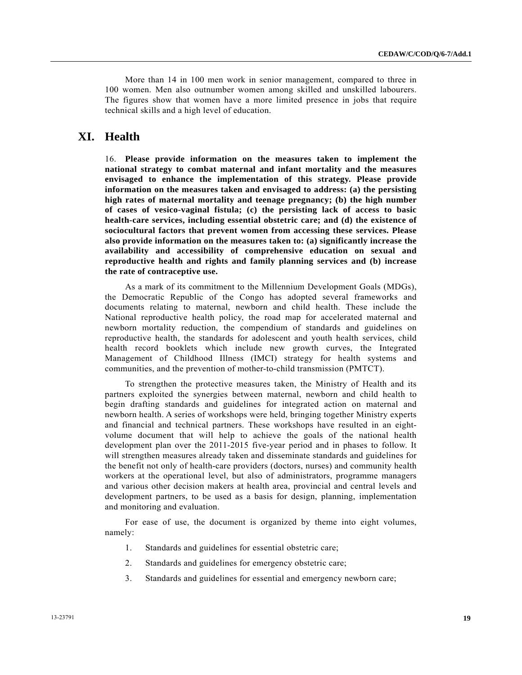More than 14 in 100 men work in senior management, compared to three in 100 women. Men also outnumber women among skilled and unskilled labourers. The figures show that women have a more limited presence in jobs that require technical skills and a high level of education.

# **XI. Health**

16. **Please provide information on the measures taken to implement the national strategy to combat maternal and infant mortality and the measures envisaged to enhance the implementation of this strategy. Please provide information on the measures taken and envisaged to address: (a) the persisting high rates of maternal mortality and teenage pregnancy; (b) the high number of cases of vesico-vaginal fistula; (c) the persisting lack of access to basic health-care services, including essential obstetric care; and (d) the existence of sociocultural factors that prevent women from accessing these services. Please also provide information on the measures taken to: (a) significantly increase the availability and accessibility of comprehensive education on sexual and reproductive health and rights and family planning services and (b) increase the rate of contraceptive use.** 

 As a mark of its commitment to the Millennium Development Goals (MDGs), the Democratic Republic of the Congo has adopted several frameworks and documents relating to maternal, newborn and child health. These include the National reproductive health policy, the road map for accelerated maternal and newborn mortality reduction, the compendium of standards and guidelines on reproductive health, the standards for adolescent and youth health services, child health record booklets which include new growth curves, the Integrated Management of Childhood Illness (IMCI) strategy for health systems and communities, and the prevention of mother-to-child transmission (PMTCT).

 To strengthen the protective measures taken, the Ministry of Health and its partners exploited the synergies between maternal, newborn and child health to begin drafting standards and guidelines for integrated action on maternal and newborn health. A series of workshops were held, bringing together Ministry experts and financial and technical partners. These workshops have resulted in an eightvolume document that will help to achieve the goals of the national health development plan over the 2011-2015 five-year period and in phases to follow. It will strengthen measures already taken and disseminate standards and guidelines for the benefit not only of health-care providers (doctors, nurses) and community health workers at the operational level, but also of administrators, programme managers and various other decision makers at health area, provincial and central levels and development partners, to be used as a basis for design, planning, implementation and monitoring and evaluation.

 For ease of use, the document is organized by theme into eight volumes, namely:

- 1. Standards and guidelines for essential obstetric care;
- 2. Standards and guidelines for emergency obstetric care;
- 3. Standards and guidelines for essential and emergency newborn care;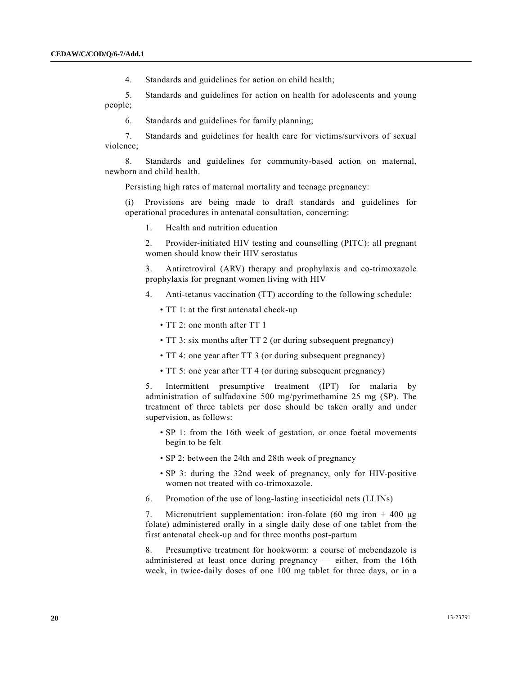4. Standards and guidelines for action on child health;

 5. Standards and guidelines for action on health for adolescents and young people;

6. Standards and guidelines for family planning;

 7. Standards and guidelines for health care for victims/survivors of sexual violence;

 8. Standards and guidelines for community-based action on maternal, newborn and child health.

Persisting high rates of maternal mortality and teenage pregnancy:

 (i) Provisions are being made to draft standards and guidelines for operational procedures in antenatal consultation, concerning:

1. Health and nutrition education

 2. Provider-initiated HIV testing and counselling (PITC): all pregnant women should know their HIV serostatus

 3. Antiretroviral (ARV) therapy and prophylaxis and co-trimoxazole prophylaxis for pregnant women living with HIV

- 4. Anti-tetanus vaccination (TT) according to the following schedule:
	- TT 1: at the first antenatal check-up
	- TT 2: one month after TT 1
	- TT 3: six months after TT 2 (or during subsequent pregnancy)
	- TT 4: one year after TT 3 (or during subsequent pregnancy)
	- TT 5: one year after TT 4 (or during subsequent pregnancy)

 5. Intermittent presumptive treatment (IPT) for malaria by administration of sulfadoxine 500 mg/pyrimethamine 25 mg (SP). The treatment of three tablets per dose should be taken orally and under supervision, as follows:

- SP 1: from the 16th week of gestation, or once foetal movements begin to be felt
- SP 2: between the 24th and 28th week of pregnancy
- SP 3: during the 32nd week of pregnancy, only for HIV-positive women not treated with co-trimoxazole.
- 6. Promotion of the use of long-lasting insecticidal nets (LLINs)

7. Micronutrient supplementation: iron-folate (60 mg iron + 400 μg folate) administered orally in a single daily dose of one tablet from the first antenatal check-up and for three months post-partum

8. Presumptive treatment for hookworm: a course of mebendazole is administered at least once during pregnancy — either, from the 16th week, in twice-daily doses of one 100 mg tablet for three days, or in a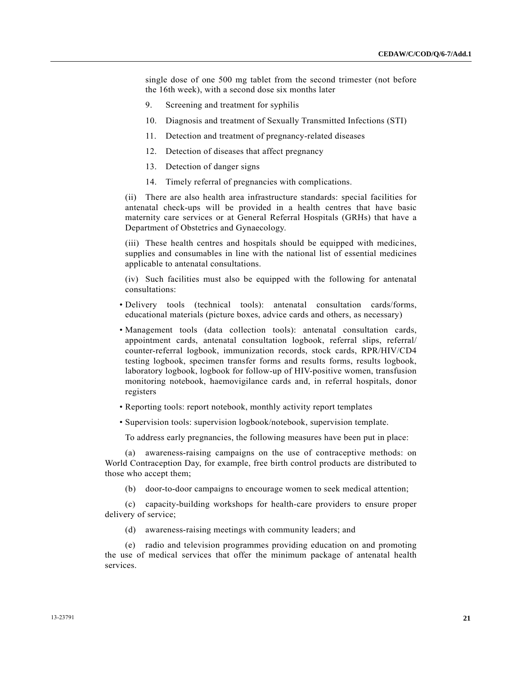single dose of one 500 mg tablet from the second trimester (not before the 16th week), with a second dose six months later

- 9. Screening and treatment for syphilis
- 10. Diagnosis and treatment of Sexually Transmitted Infections (STI)
- 11. Detection and treatment of pregnancy-related diseases
- 12. Detection of diseases that affect pregnancy
- 13. Detection of danger signs
- 14. Timely referral of pregnancies with complications.

(ii) There are also health area infrastructure standards: special facilities for antenatal check-ups will be provided in a health centres that have basic maternity care services or at General Referral Hospitals (GRHs) that have a Department of Obstetrics and Gynaecology.

(iii) These health centres and hospitals should be equipped with medicines, supplies and consumables in line with the national list of essential medicines applicable to antenatal consultations.

(iv) Such facilities must also be equipped with the following for antenatal consultations:

- Delivery tools (technical tools): antenatal consultation cards/forms, educational materials (picture boxes, advice cards and others, as necessary)
- Management tools (data collection tools): antenatal consultation cards, appointment cards, antenatal consultation logbook, referral slips, referral/ counter-referral logbook, immunization records, stock cards, RPR/HIV/CD4 testing logbook, specimen transfer forms and results forms, results logbook, laboratory logbook, logbook for follow-up of HIV-positive women, transfusion monitoring notebook, haemovigilance cards and, in referral hospitals, donor registers
- Reporting tools: report notebook, monthly activity report templates
- Supervision tools: supervision logbook/notebook, supervision template.

To address early pregnancies, the following measures have been put in place:

 (a) awareness-raising campaigns on the use of contraceptive methods: on World Contraception Day, for example, free birth control products are distributed to those who accept them;

(b) door-to-door campaigns to encourage women to seek medical attention;

 (c) capacity-building workshops for health-care providers to ensure proper delivery of service;

(d) awareness-raising meetings with community leaders; and

 (e) radio and television programmes providing education on and promoting the use of medical services that offer the minimum package of antenatal health services.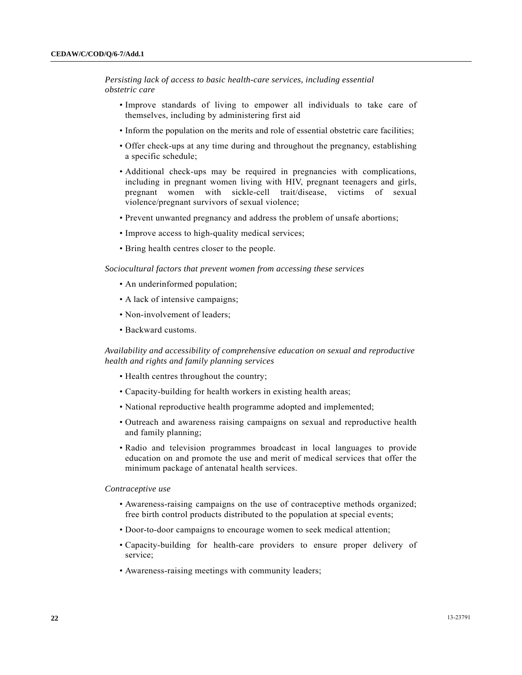*Persisting lack of access to basic health-care services, including essential obstetric care* 

- Improve standards of living to empower all individuals to take care of themselves, including by administering first aid
- Inform the population on the merits and role of essential obstetric care facilities;
- Offer check-ups at any time during and throughout the pregnancy, establishing a specific schedule;
- Additional check-ups may be required in pregnancies with complications, including in pregnant women living with HIV, pregnant teenagers and girls, pregnant women with sickle-cell trait/disease, victims of sexual violence/pregnant survivors of sexual violence;
- Prevent unwanted pregnancy and address the problem of unsafe abortions;
- Improve access to high-quality medical services;
- Bring health centres closer to the people.

 *Sociocultural factors that prevent women from accessing these services* 

- An underinformed population;
- A lack of intensive campaigns;
- Non-involvement of leaders;
- Backward customs.

 *Availability and accessibility of comprehensive education on sexual and reproductive health and rights and family planning services* 

- Health centres throughout the country;
- Capacity-building for health workers in existing health areas;
- National reproductive health programme adopted and implemented;
- Outreach and awareness raising campaigns on sexual and reproductive health and family planning;
- Radio and television programmes broadcast in local languages to provide education on and promote the use and merit of medical services that offer the minimum package of antenatal health services.

#### *Contraceptive use*

- Awareness-raising campaigns on the use of contraceptive methods organized; free birth control products distributed to the population at special events;
- Door-to-door campaigns to encourage women to seek medical attention;
- Capacity-building for health-care providers to ensure proper delivery of service;
- Awareness-raising meetings with community leaders;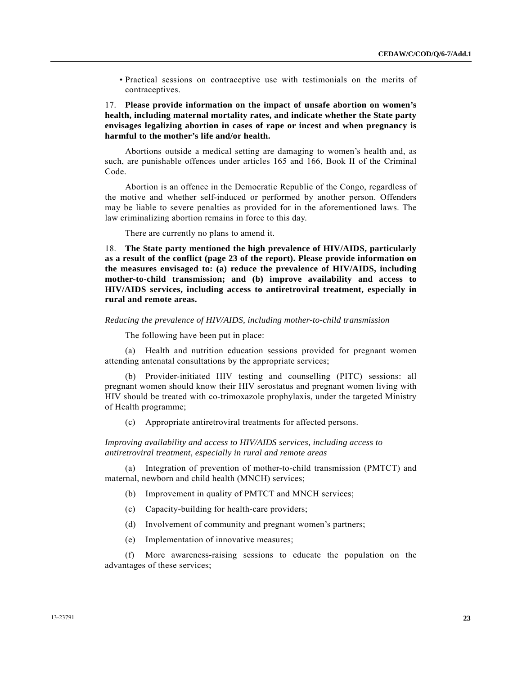• Practical sessions on contraceptive use with testimonials on the merits of contraceptives.

17. **Please provide information on the impact of unsafe abortion on women's health, including maternal mortality rates, and indicate whether the State party envisages legalizing abortion in cases of rape or incest and when pregnancy is harmful to the mother's life and/or health.** 

 Abortions outside a medical setting are damaging to women's health and, as such, are punishable offences under articles 165 and 166, Book II of the Criminal Code.

 Abortion is an offence in the Democratic Republic of the Congo, regardless of the motive and whether self-induced or performed by another person. Offenders may be liable to severe penalties as provided for in the aforementioned laws. The law criminalizing abortion remains in force to this day.

There are currently no plans to amend it.

18. **The State party mentioned the high prevalence of HIV/AIDS, particularly as a result of the conflict (page 23 of the report). Please provide information on the measures envisaged to: (a) reduce the prevalence of HIV/AIDS, including mother-to-child transmission; and (b) improve availability and access to HIV/AIDS services, including access to antiretroviral treatment, especially in rural and remote areas.** 

#### *Reducing the prevalence of HIV/AIDS, including mother-to-child transmission*

The following have been put in place:

 (a) Health and nutrition education sessions provided for pregnant women attending antenatal consultations by the appropriate services;

 (b) Provider-initiated HIV testing and counselling (PITC) sessions: all pregnant women should know their HIV serostatus and pregnant women living with HIV should be treated with co-trimoxazole prophylaxis, under the targeted Ministry of Health programme;

(c) Appropriate antiretroviral treatments for affected persons.

 *Improving availability and access to HIV/AIDS services, including access to antiretroviral treatment, especially in rural and remote areas* 

 (a) Integration of prevention of mother-to-child transmission (PMTCT) and maternal, newborn and child health (MNCH) services;

- (b) Improvement in quality of PMTCT and MNCH services;
- (c) Capacity-building for health-care providers;
- (d) Involvement of community and pregnant women's partners;
- (e) Implementation of innovative measures;

 (f) More awareness-raising sessions to educate the population on the advantages of these services;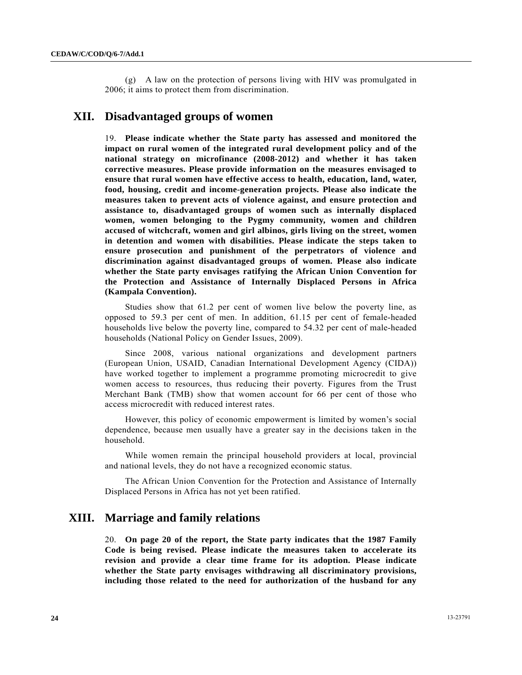(g) A law on the protection of persons living with HIV was promulgated in 2006; it aims to protect them from discrimination.

# **XII. Disadvantaged groups of women**

19. **Please indicate whether the State party has assessed and monitored the impact on rural women of the integrated rural development policy and of the national strategy on microfinance (2008-2012) and whether it has taken corrective measures. Please provide information on the measures envisaged to ensure that rural women have effective access to health, education, land, water, food, housing, credit and income-generation projects. Please also indicate the measures taken to prevent acts of violence against, and ensure protection and assistance to, disadvantaged groups of women such as internally displaced women, women belonging to the Pygmy community, women and children accused of witchcraft, women and girl albinos, girls living on the street, women in detention and women with disabilities. Please indicate the steps taken to ensure prosecution and punishment of the perpetrators of violence and discrimination against disadvantaged groups of women. Please also indicate whether the State party envisages ratifying the African Union Convention for the Protection and Assistance of Internally Displaced Persons in Africa (Kampala Convention).** 

 Studies show that 61.2 per cent of women live below the poverty line, as opposed to 59.3 per cent of men. In addition, 61.15 per cent of female-headed households live below the poverty line, compared to 54.32 per cent of male-headed households (National Policy on Gender Issues, 2009).

 Since 2008, various national organizations and development partners (European Union, USAID, Canadian International Development Agency (CIDA)) have worked together to implement a programme promoting microcredit to give women access to resources, thus reducing their poverty. Figures from the Trust Merchant Bank (TMB) show that women account for 66 per cent of those who access microcredit with reduced interest rates.

 However, this policy of economic empowerment is limited by women's social dependence, because men usually have a greater say in the decisions taken in the household.

 While women remain the principal household providers at local, provincial and national levels, they do not have a recognized economic status.

 The African Union Convention for the Protection and Assistance of Internally Displaced Persons in Africa has not yet been ratified.

## **XIII. Marriage and family relations**

20. **On page 20 of the report, the State party indicates that the 1987 Family Code is being revised. Please indicate the measures taken to accelerate its revision and provide a clear time frame for its adoption. Please indicate whether the State party envisages withdrawing all discriminatory provisions, including those related to the need for authorization of the husband for any**